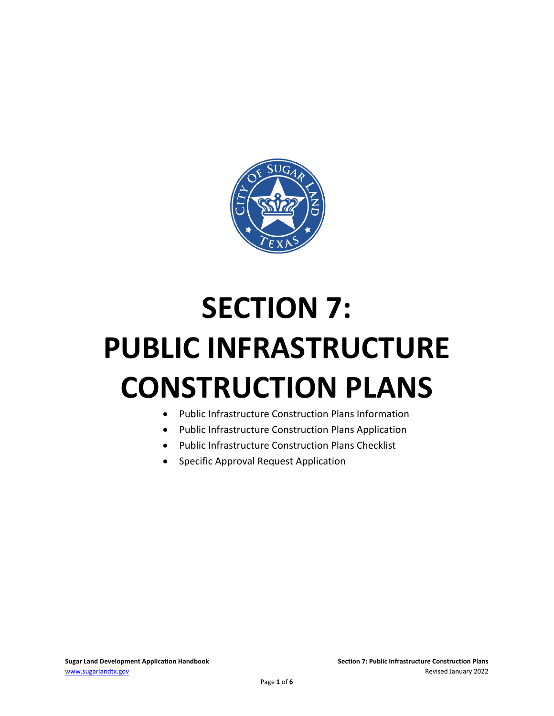

# **SECTION 7: PUBLIC INFRASTRUCTURE CONSTRUCTION PLANS**

- Public Infrastructure Construction Plans Information
- Public Infrastructure Construction Plans Application
- Public Infrastructure Construction Plans Checklist
- Specific Approval Request Application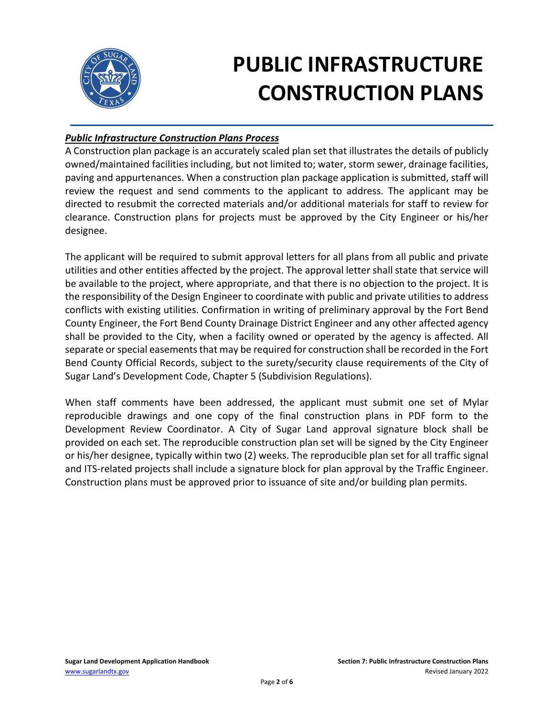

# **PUBLIC INFRASTRUCTURE CONSTRUCTION PLANS**

# *Public Infrastructure Construction Plans Process*

A Construction plan package is an accurately scaled plan set that illustrates the details of publicly owned/maintained facilities including, but not limited to; water, storm sewer, drainage facilities, paving and appurtenances. When a construction plan package application is submitted, staff will review the request and send comments to the applicant to address. The applicant may be directed to resubmit the corrected materials and/or additional materials for staff to review for clearance. Construction plans for projects must be approved by the City Engineer or his/her designee.

The applicant will be required to submit approval letters for all plans from all public and private utilities and other entities affected by the project. The approval letter shall state that service will be available to the project, where appropriate, and that there is no objection to the project. It is the responsibility of the Design Engineer to coordinate with public and private utilities to address conflicts with existing utilities. Confirmation in writing of preliminary approval by the Fort Bend County Engineer, the Fort Bend County Drainage District Engineer and any other affected agency shall be provided to the City, when a facility owned or operated by the agency is affected. All separate or special easements that may be required for construction shall be recorded in the Fort Bend County Official Records, subject to the surety/security clause requirements of the City of Sugar Land's Development Code, Chapter 5 (Subdivision Regulations).

When staff comments have been addressed, the applicant must submit one set of Mylar reproducible drawings and one copy of the final construction plans in PDF form to the Development Review Coordinator. A City of Sugar Land approval signature block shall be provided on each set. The reproducible construction plan set will be signed by the City Engineer or his/her designee, typically within two (2) weeks. The reproducible plan set for all traffic signal and ITS-related projects shall include a signature block for plan approval by the Traffic Engineer. Construction plans must be approved prior to issuance of site and/or building plan permits.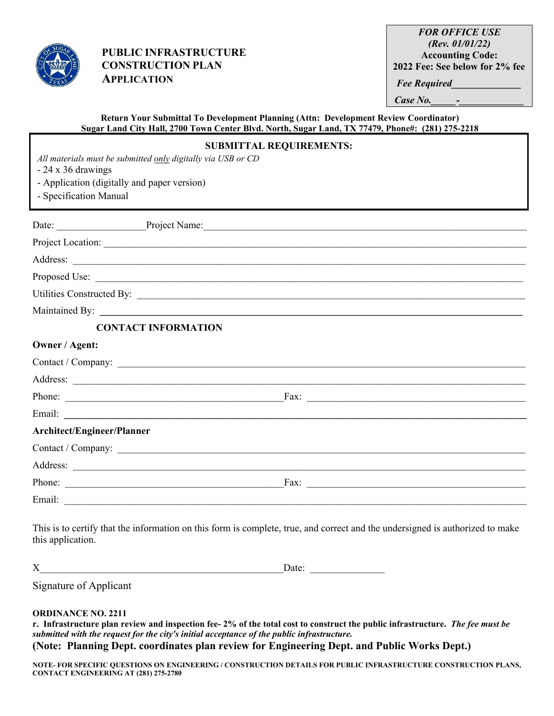

**PUBLIC INFRASTRUCTURE CONSTRUCTION PLAN APPLICATION** 

| <b>FOR OFFICE USE</b>          |
|--------------------------------|
| (Rev. 01/01/22)                |
| <b>Accounting Code:</b>        |
| 2022 Fee: See below for 2% fee |
| <b>Fee Required</b>            |
| Case No.                       |

#### **Return Your Submittal To Development Planning (Attn: Development Review Coordinator) Sugar Land City Hall, 2700 Town Center Blvd. North, Sugar Land, TX 77479, Phone#: (281) 275-2218**

|                                                                                    | Sugar Land City Han, 2700 Town Center Divu. Ivorth, Sugar Land, TA 77479, Fhone#; (201) 273-2210 |  |  |  |  |
|------------------------------------------------------------------------------------|--------------------------------------------------------------------------------------------------|--|--|--|--|
| <b>SUBMITTAL REQUIREMENTS:</b>                                                     |                                                                                                  |  |  |  |  |
| All materials must be submitted only digitally via USB or CD<br>- 24 x 36 drawings |                                                                                                  |  |  |  |  |
| - Application (digitally and paper version)                                        |                                                                                                  |  |  |  |  |
| - Specification Manual                                                             |                                                                                                  |  |  |  |  |
|                                                                                    |                                                                                                  |  |  |  |  |
|                                                                                    |                                                                                                  |  |  |  |  |
|                                                                                    |                                                                                                  |  |  |  |  |
|                                                                                    |                                                                                                  |  |  |  |  |
|                                                                                    |                                                                                                  |  |  |  |  |
|                                                                                    |                                                                                                  |  |  |  |  |
|                                                                                    |                                                                                                  |  |  |  |  |
| <b>CONTACT INFORMATION</b>                                                         |                                                                                                  |  |  |  |  |
| <b>Owner / Agent:</b>                                                              |                                                                                                  |  |  |  |  |
|                                                                                    |                                                                                                  |  |  |  |  |
|                                                                                    |                                                                                                  |  |  |  |  |
|                                                                                    |                                                                                                  |  |  |  |  |
|                                                                                    |                                                                                                  |  |  |  |  |
| Architect/Engineer/Planner                                                         |                                                                                                  |  |  |  |  |
|                                                                                    |                                                                                                  |  |  |  |  |
|                                                                                    |                                                                                                  |  |  |  |  |
|                                                                                    | $\text{Fax:}$                                                                                    |  |  |  |  |
|                                                                                    |                                                                                                  |  |  |  |  |
|                                                                                    |                                                                                                  |  |  |  |  |

This is to certify that the information on this form is complete, true, and correct and the undersigned is authorized to make this application.

X Date:

Signature of Applicant

#### **ORDINANCE NO. 2211**

**r. Infrastructure plan review and inspection fee- 2% of the total cost to construct the public infrastructure.** *The fee must be submitted with the request for the city's initial acceptance of the public infrastructure.*  **(Note: Planning Dept. coordinates plan review for Engineering Dept. and Public Works Dept.)**

**NOTE- FOR SPECIFIC QUESTIONS ON ENGINEERING / CONSTRUCTION DETAILS FOR PUBLIC INFRASTRUCTURE CONSTRUCTION PLANS, CONTACT ENGINEERING AT (281) 275-2780**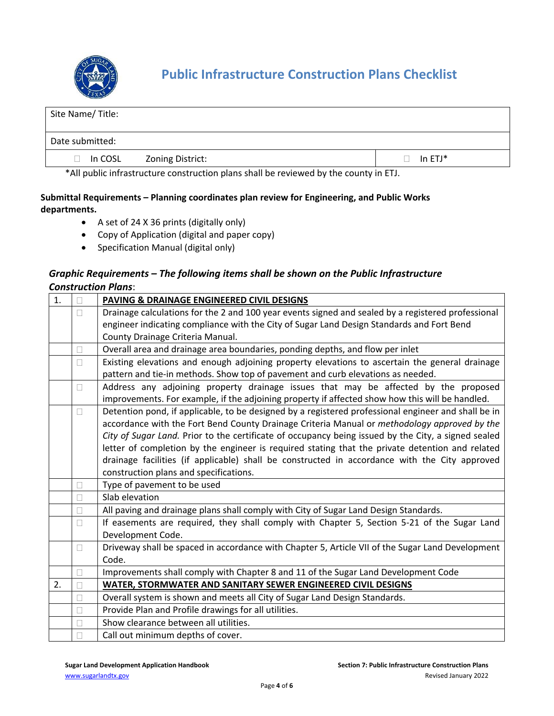

| Site Name/Title: |                  |                |  |  |
|------------------|------------------|----------------|--|--|
| Date submitted:  |                  |                |  |  |
| $\Box$ In COSL   | Zoning District: | $\Box$ In ETJ* |  |  |

\*All public infrastructure construction plans shall be reviewed by the county in ETJ.

## **Submittal Requirements – Planning coordinates plan review for Engineering, and Public Works departments.**

- A set of 24 X 36 prints (digitally only)
- Copy of Application (digital and paper copy)
- Specification Manual (digital only)

# *Graphic Requirements – The following items shall be shown on the Public Infrastructure Construction Plans*:

| 1. |        | PAVING & DRAINAGE ENGINEERED CIVIL DESIGNS                                                          |  |
|----|--------|-----------------------------------------------------------------------------------------------------|--|
|    |        | Drainage calculations for the 2 and 100 year events signed and sealed by a registered professional  |  |
|    |        | engineer indicating compliance with the City of Sugar Land Design Standards and Fort Bend           |  |
|    |        | County Drainage Criteria Manual.                                                                    |  |
|    |        | Overall area and drainage area boundaries, ponding depths, and flow per inlet                       |  |
|    |        | Existing elevations and enough adjoining property elevations to ascertain the general drainage      |  |
|    |        | pattern and tie-in methods. Show top of pavement and curb elevations as needed.                     |  |
|    | П      | Address any adjoining property drainage issues that may be affected by the proposed                 |  |
|    |        | improvements. For example, if the adjoining property if affected show how this will be handled.     |  |
|    | П      | Detention pond, if applicable, to be designed by a registered professional engineer and shall be in |  |
|    |        | accordance with the Fort Bend County Drainage Criteria Manual or methodology approved by the        |  |
|    |        | City of Sugar Land. Prior to the certificate of occupancy being issued by the City, a signed sealed |  |
|    |        | letter of completion by the engineer is required stating that the private detention and related     |  |
|    |        | drainage facilities (if applicable) shall be constructed in accordance with the City approved       |  |
|    |        | construction plans and specifications.                                                              |  |
|    |        | Type of pavement to be used                                                                         |  |
|    |        | Slab elevation                                                                                      |  |
|    |        | All paving and drainage plans shall comply with City of Sugar Land Design Standards.                |  |
|    | $\Box$ | If easements are required, they shall comply with Chapter 5, Section 5-21 of the Sugar Land         |  |
|    |        | Development Code.                                                                                   |  |
|    | П      | Driveway shall be spaced in accordance with Chapter 5, Article VII of the Sugar Land Development    |  |
|    |        | Code.                                                                                               |  |
|    |        | Improvements shall comply with Chapter 8 and 11 of the Sugar Land Development Code                  |  |
| 2. |        | WATER, STORMWATER AND SANITARY SEWER ENGINEERED CIVIL DESIGNS                                       |  |
|    | н      | Overall system is shown and meets all City of Sugar Land Design Standards.                          |  |
|    |        | Provide Plan and Profile drawings for all utilities.                                                |  |
|    |        | Show clearance between all utilities.                                                               |  |
|    |        | Call out minimum depths of cover.                                                                   |  |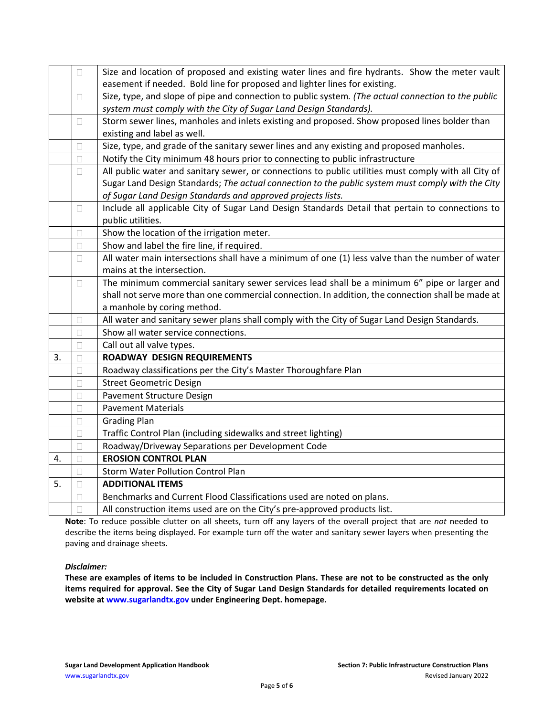|    | П                                               | Size and location of proposed and existing water lines and fire hydrants. Show the meter vault       |
|----|-------------------------------------------------|------------------------------------------------------------------------------------------------------|
|    |                                                 | easement if needed. Bold line for proposed and lighter lines for existing.                           |
|    | П                                               | Size, type, and slope of pipe and connection to public system. (The actual connection to the public  |
|    |                                                 | system must comply with the City of Sugar Land Design Standards).                                    |
|    | П                                               | Storm sewer lines, manholes and inlets existing and proposed. Show proposed lines bolder than        |
|    |                                                 | existing and label as well.                                                                          |
|    | □                                               | Size, type, and grade of the sanitary sewer lines and any existing and proposed manholes.            |
|    | П                                               | Notify the City minimum 48 hours prior to connecting to public infrastructure                        |
|    | П                                               | All public water and sanitary sewer, or connections to public utilities must comply with all City of |
|    |                                                 | Sugar Land Design Standards; The actual connection to the public system must comply with the City    |
|    |                                                 | of Sugar Land Design Standards and approved projects lists.                                          |
|    | □                                               | Include all applicable City of Sugar Land Design Standards Detail that pertain to connections to     |
|    |                                                 | public utilities.                                                                                    |
|    | П                                               | Show the location of the irrigation meter.                                                           |
|    | Show and label the fire line, if required.<br>П |                                                                                                      |
|    | П                                               | All water main intersections shall have a minimum of one (1) less valve than the number of water     |
|    |                                                 | mains at the intersection.                                                                           |
|    | $\Box$                                          | The minimum commercial sanitary sewer services lead shall be a minimum 6" pipe or larger and         |
|    |                                                 | shall not serve more than one commercial connection. In addition, the connection shall be made at    |
|    |                                                 | a manhole by coring method.                                                                          |
|    | □                                               | All water and sanitary sewer plans shall comply with the City of Sugar Land Design Standards.        |
|    | П                                               | Show all water service connections.                                                                  |
|    | П                                               | Call out all valve types.                                                                            |
| 3. | П                                               | <b>ROADWAY DESIGN REQUIREMENTS</b>                                                                   |
|    | П                                               | Roadway classifications per the City's Master Thoroughfare Plan                                      |
|    | $\Box$                                          | <b>Street Geometric Design</b>                                                                       |
|    | П                                               | Pavement Structure Design                                                                            |
|    | П                                               | <b>Pavement Materials</b>                                                                            |
|    | $\Box$                                          | <b>Grading Plan</b>                                                                                  |
|    | П                                               | Traffic Control Plan (including sidewalks and street lighting)                                       |
|    |                                                 | Roadway/Driveway Separations per Development Code                                                    |
| 4. | П                                               | <b>EROSION CONTROL PLAN</b>                                                                          |
|    | П                                               | <b>Storm Water Pollution Control Plan</b>                                                            |
| 5. | П                                               | <b>ADDITIONAL ITEMS</b>                                                                              |
|    |                                                 | Benchmarks and Current Flood Classifications used are noted on plans.                                |
|    |                                                 | All construction items used are on the City's pre-approved products list.                            |

**Note**: To reduce possible clutter on all sheets, turn off any layers of the overall project that are *not* needed to describe the items being displayed. For example turn off the water and sanitary sewer layers when presenting the paving and drainage sheets.

#### *Disclaimer:*

**These are examples of items to be included in Construction Plans. These are not to be constructed as the only items required for approval. See the City of Sugar Land Design Standards for detailed requirements located on website at [www.sugarlandtx.gov](http://www.sugarlandtx.gov/) under Engineering Dept. homepage.**